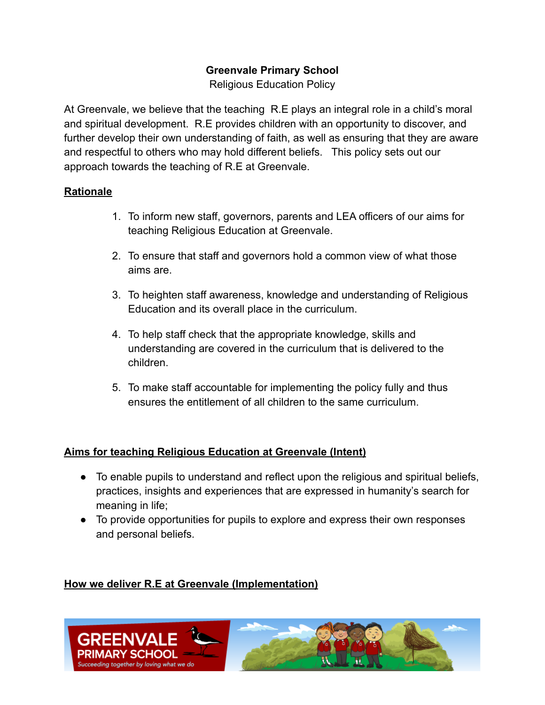### **Greenvale Primary School**

Religious Education Policy

At Greenvale, we believe that the teaching R.E plays an integral role in a child's moral and spiritual development. R.E provides children with an opportunity to discover, and further develop their own understanding of faith, as well as ensuring that they are aware and respectful to others who may hold different beliefs. This policy sets out our approach towards the teaching of R.E at Greenvale.

#### **Rationale**

- 1. To inform new staff, governors, parents and LEA officers of our aims for teaching Religious Education at Greenvale.
- 2. To ensure that staff and governors hold a common view of what those aims are.
- 3. To heighten staff awareness, knowledge and understanding of Religious Education and its overall place in the curriculum.
- 4. To help staff check that the appropriate knowledge, skills and understanding are covered in the curriculum that is delivered to the children.
- 5. To make staff accountable for implementing the policy fully and thus ensures the entitlement of all children to the same curriculum.

## **Aims for teaching Religious Education at Greenvale (Intent)**

- To enable pupils to understand and reflect upon the religious and spiritual beliefs, practices, insights and experiences that are expressed in humanity's search for meaning in life;
- To provide opportunities for pupils to explore and express their own responses and personal beliefs.

## **How we deliver R.E at Greenvale (Implementation)**

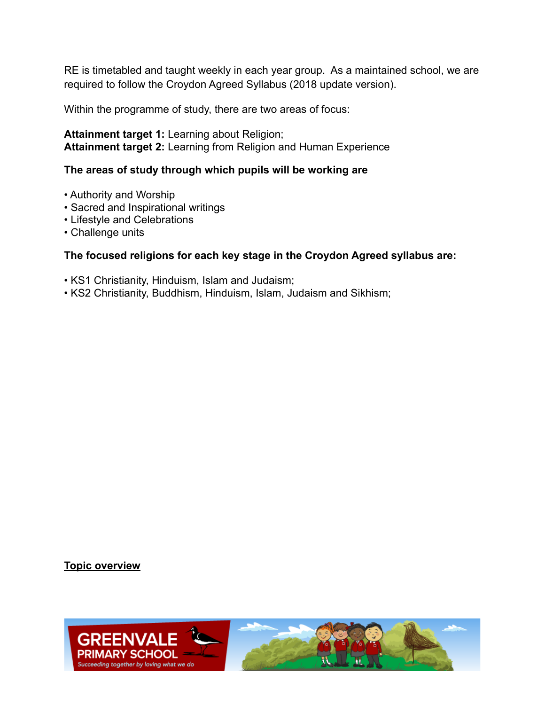RE is timetabled and taught weekly in each year group. As a maintained school, we are required to follow the Croydon Agreed Syllabus (2018 update version).

Within the programme of study, there are two areas of focus:

**Attainment target 1:** Learning about Religion; **Attainment target 2:** Learning from Religion and Human Experience

#### **The areas of study through which pupils will be working are**

- Authority and Worship
- Sacred and Inspirational writings
- Lifestyle and Celebrations
- Challenge units

#### **The focused religions for each key stage in the Croydon Agreed syllabus are:**

- KS1 Christianity, Hinduism, Islam and Judaism;
- KS2 Christianity, Buddhism, Hinduism, Islam, Judaism and Sikhism;

#### **Topic overview**

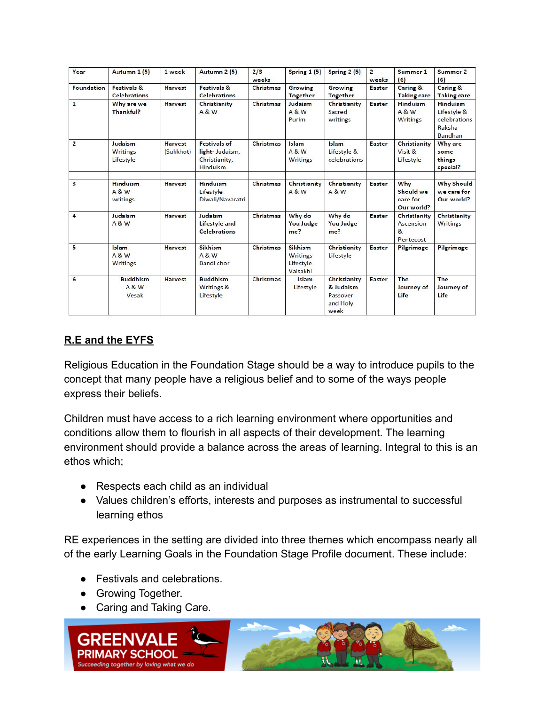| Year                    | Autumn 1 (5)                                  | 1 week                      | Autumn 2 (5)                                                              | 2/3<br>weeks     | Spring 1 (5)                                 | Spring 2 (5)                                              | $\overline{2}$<br>weeks | Summer 1<br>(6)                                        | Summer 2<br>(6)                                                                   |
|-------------------------|-----------------------------------------------|-----------------------------|---------------------------------------------------------------------------|------------------|----------------------------------------------|-----------------------------------------------------------|-------------------------|--------------------------------------------------------|-----------------------------------------------------------------------------------|
| <b>Foundation</b>       | Festivals &<br><b>Celebrations</b>            | <b>Harvest</b>              | Festivals &<br><b>Celebrations</b>                                        | Christmas        | Growing<br><b>Together</b>                   | Growing<br><b>Together</b>                                | <b>Easter</b>           | Caring &<br><b>Taking care</b>                         | <b>Caring &amp;</b><br><b>Taking care</b>                                         |
| $\mathbf{1}$            | Why are we<br>Thankful?                       | <b>Harvest</b>              | Christianity<br><b>A&amp;W</b>                                            | <b>Christmas</b> | Judaism<br><b>A&amp;W</b><br>Purim           | Christianity<br>Sacred<br>writings                        | Easter                  | Hinduism<br><b>A&amp;W</b><br>Writings                 | <b>Hinduism</b><br>Lifestyle &<br><b>celebrations</b><br>Raksha<br><b>Bandhan</b> |
| $\overline{2}$          | Judaism<br><b>Writings</b><br>Lifestyle       | <b>Harvest</b><br>(Sukkhot) | <b>Festivals of</b><br>light-Judaism,<br>Christianity,<br><b>Hinduism</b> | Christmas        | Islam<br><b>A&amp;W</b><br>Writings          | Islam<br>Lifestyle &<br>celebrations                      | <b>Easter</b>           | Christianity<br>Visit &<br>Lifestyle                   | Why are<br>some<br>things<br>special?                                             |
| $\overline{\mathbf{3}}$ | <b>Hinduism</b><br><b>A&amp;W</b><br>writings | <b>Harvest</b>              | <b>Hinduism</b><br><b>Lifestyle</b><br>Diwali/Navaratri                   | Christmas        | Christianity<br><b>A&amp;W</b>               | Christianity<br><b>A&amp;W</b>                            | Easter                  | Why<br>Should we<br>care for<br>Our world?             | <b>Why Should</b><br>we care for<br>Our world?                                    |
| $\overline{a}$          | Judaism<br><b>A&amp;W</b>                     | <b>Harvest</b>              | Judaism<br>Lifestyle and<br><b>Celebrations</b>                           | Christmas        | Why do<br><b>You Judge</b><br>me?            | Why do<br><b>You Judge</b><br>me?                         | Easter                  | Christianity<br>Ascension<br>$\mathbf{g}$<br>Pentecost | Christianity<br>Writings                                                          |
| 5                       | Islam<br><b>A &amp; W</b><br><b>Writings</b>  | <b>Harvest</b>              | Sikhism<br><b>A &amp; W</b><br><b>Bandi</b> chor                          | Christmas        | Sikhism<br>Writings<br>Lifestyle<br>Vaisakhi | Christianity<br>Lifestyle                                 | <b>Easter</b>           | Pilgrimage                                             | Pilgrimage                                                                        |
| 6                       | <b>Buddhism</b><br><b>A &amp; W</b><br>Vesak  | <b>Harvest</b>              | <b>Buddhism</b><br>Writings &<br>Lifestyle                                | <b>Christmas</b> | Islam<br>Lifestyle                           | Christianity<br>& Judaism<br>Passover<br>and Holy<br>week | Easter                  | The<br>Journey of<br>Life                              | The<br>Journey of<br>Life                                                         |

# **R.E and the EYFS**

Religious Education in the Foundation Stage should be a way to introduce pupils to the concept that many people have a religious belief and to some of the ways people express their beliefs.

Children must have access to a rich learning environment where opportunities and conditions allow them to flourish in all aspects of their development. The learning environment should provide a balance across the areas of learning. Integral to this is an ethos which;

- Respects each child as an individual
- Values children's efforts, interests and purposes as instrumental to successful learning ethos

RE experiences in the setting are divided into three themes which encompass nearly all of the early Learning Goals in the Foundation Stage Profile document. These include:

- Festivals and celebrations.
- **•** Growing Together.
- Caring and Taking Care.

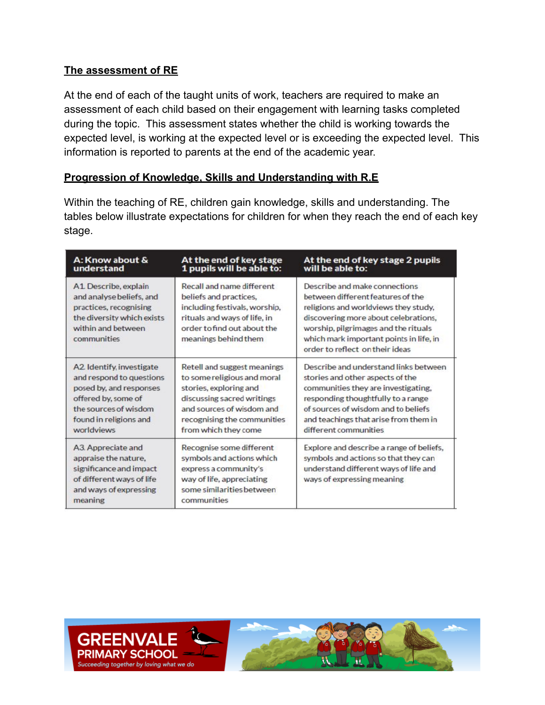### **The assessment of RE**

At the end of each of the taught units of work, teachers are required to make an assessment of each child based on their engagement with learning tasks completed during the topic. This assessment states whether the child is working towards the expected level, is working at the expected level or is exceeding the expected level. This information is reported to parents at the end of the academic year.

#### **Progression of Knowledge, Skills and Understanding with R.E**

Within the teaching of RE, children gain knowledge, skills and understanding. The tables below illustrate expectations for children for when they reach the end of each key stage.

| A: Know about &                                                                                                                               | At the end of key stage                                                                                                                                                     | At the end of key stage 2 pupils                                                                                                                                                                                                                                         |
|-----------------------------------------------------------------------------------------------------------------------------------------------|-----------------------------------------------------------------------------------------------------------------------------------------------------------------------------|--------------------------------------------------------------------------------------------------------------------------------------------------------------------------------------------------------------------------------------------------------------------------|
| understand                                                                                                                                    | 1 pupils will be able to:                                                                                                                                                   | will be able to:                                                                                                                                                                                                                                                         |
| A1 Describe, explain<br>and analyse beliefs, and<br>practices, recognising<br>the diversity which exists<br>within and between<br>communities | Recall and name different<br>beliefs and practices.<br>including festivals, worship,<br>rituals and ways of life, in<br>order to find out about the<br>meanings behind them | Describe and make connections<br>between different features of the<br>religions and worldviews they study,<br>discovering more about celebrations,<br>worship, pilgrimages and the rituals<br>which mark important points in life, in<br>order to reflect on their ideas |
| A2 Identify investigate                                                                                                                       | Retell and suggest meanings                                                                                                                                                 | Describe and understand links between                                                                                                                                                                                                                                    |
| and respond to questions                                                                                                                      | to some religious and moral                                                                                                                                                 | stories and other aspects of the                                                                                                                                                                                                                                         |
| posed by, and responses                                                                                                                       | stories, exploring and                                                                                                                                                      | communities they are investigating.                                                                                                                                                                                                                                      |
| offered by, some of                                                                                                                           | discussing sacred writings                                                                                                                                                  | responding thoughtfully to a range                                                                                                                                                                                                                                       |
| the sources of wisdom                                                                                                                         | and sources of wisdom and                                                                                                                                                   | of sources of wisdom and to beliefs                                                                                                                                                                                                                                      |
| found in religions and                                                                                                                        | recognising the communities                                                                                                                                                 | and teachings that arise from them in                                                                                                                                                                                                                                    |
| worldviews                                                                                                                                    | from which they come                                                                                                                                                        | different communities                                                                                                                                                                                                                                                    |
| A3. Appreciate and<br>appraise the nature.<br>significance and impact<br>of different ways of life<br>and ways of expressing<br>meaning       | Recognise some different<br>symbols and actions which<br>express a community's<br>way of life, appreciating<br>some similarities between<br>communities                     | Explore and describe a range of beliefs,<br>symbols and actions so that they can<br>understand different ways of life and<br>ways of expressing meaning                                                                                                                  |

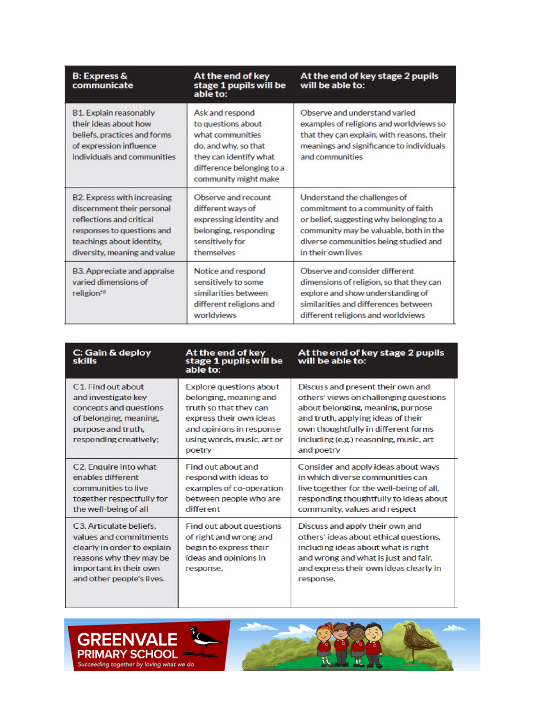| <b>B: Express &amp;</b><br>communicate                                                                                                                                                  | At the end of key<br>stage 1 pupils will be<br>able to:                                                                                                          | At the end of key stage 2 pupils<br>will be able to:                                                                                                                                                                    |  |  |
|-----------------------------------------------------------------------------------------------------------------------------------------------------------------------------------------|------------------------------------------------------------------------------------------------------------------------------------------------------------------|-------------------------------------------------------------------------------------------------------------------------------------------------------------------------------------------------------------------------|--|--|
| <b>B1. Explain reasonably</b><br>their ideas about how<br>beliefs, practices and forms<br>of expression influence<br>individuals and communities                                        | Ask and respond<br>to questions about<br>what communities<br>do, and why, so that<br>they can identify what<br>difference belonging to a<br>community might make | Observe and understand varied<br>examples of religions and worldviews so<br>that they can explain, with reasons, their<br>meanings and significance to individuals<br>and communities                                   |  |  |
| <b>B2. Express with increasing</b><br>discernment their personal<br>reflections and critical<br>responses to questions and<br>teachings about identity,<br>diversity, meaning and value | Observe and recount<br>different ways of<br>expressing identity and<br>belonging, responding<br>sensitively for<br>themselves                                    | Understand the challenges of<br>commitment to a community of faith<br>or belief, suggesting why belonging to a<br>community may be valuable, both in the<br>diverse communities being studied and<br>in their own lives |  |  |
| B3. Appreciate and appraise<br>varied dimensions of<br>religion <sup>58</sup>                                                                                                           | Notice and respond<br>sensitively to some<br>similarities between<br>different religions and<br>worldviews                                                       | Observe and consider different<br>dimensions of religion, so that they can<br>explore and show understanding of<br>similarities and differences between<br>different religions and worldviews                           |  |  |

| C: Gain & deploy<br>skills                                                                                                                                         | At the end of key<br>stage 1 pupils will be<br>able to:                                                                                                                           | At the end of key stage 2 pupils<br>will be able to:                                                                                                                                                                                                  |
|--------------------------------------------------------------------------------------------------------------------------------------------------------------------|-----------------------------------------------------------------------------------------------------------------------------------------------------------------------------------|-------------------------------------------------------------------------------------------------------------------------------------------------------------------------------------------------------------------------------------------------------|
| C1. Find out about<br>and investigate key<br>concepts and questions<br>of belonging, meaning.<br>purpose and truth,<br>responding creatively;                      | <b>Explore questions about</b><br>belonging, meaning and<br>truth so that they can<br>express their own ideas<br>and opinions in response<br>using words, music, art or<br>poetry | Discuss and present their own and<br>others' views on challenging questions<br>about belonging, meaning, purpose<br>and truth, applying ideas of their<br>own thoughtfully in different forms<br>including (e.g.) reasoning, music, art<br>and poetry |
| C2. Enquire into what<br>enables different<br>communities to live<br>together respectfully for<br>the well-being of all                                            | Find out about and<br>respond with ideas to<br>examples of co-operation<br>between people who are<br>different                                                                    | Consider and apply ideas about ways<br>in which diverse communities can<br>live together for the well-being of all,<br>responding thoughtfully to ideas about<br>community, values and respect                                                        |
| C3. Articulate beliefs.<br>values and commitments<br>clearly in order to explain<br>reasons why they may be<br>important in their own<br>and other people's lives. | Find out about questions<br>of right and wrong and<br>begin to express their<br>ideas and opinions in<br>response.                                                                | Discuss and apply their own and<br>others' ideas about ethical questions.<br>including ideas about what is right<br>and wrong and what is just and fair.<br>and express their own ideas clearly in<br>response.                                       |



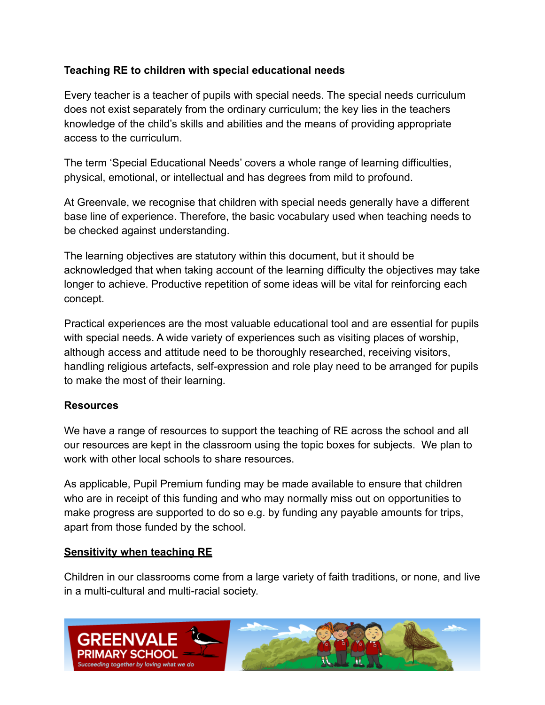### **Teaching RE to children with special educational needs**

Every teacher is a teacher of pupils with special needs. The special needs curriculum does not exist separately from the ordinary curriculum; the key lies in the teachers knowledge of the child's skills and abilities and the means of providing appropriate access to the curriculum.

The term 'Special Educational Needs' covers a whole range of learning difficulties, physical, emotional, or intellectual and has degrees from mild to profound.

At Greenvale, we recognise that children with special needs generally have a different base line of experience. Therefore, the basic vocabulary used when teaching needs to be checked against understanding.

The learning objectives are statutory within this document, but it should be acknowledged that when taking account of the learning difficulty the objectives may take longer to achieve. Productive repetition of some ideas will be vital for reinforcing each concept.

Practical experiences are the most valuable educational tool and are essential for pupils with special needs. A wide variety of experiences such as visiting places of worship, although access and attitude need to be thoroughly researched, receiving visitors, handling religious artefacts, self-expression and role play need to be arranged for pupils to make the most of their learning.

#### **Resources**

We have a range of resources to support the teaching of RE across the school and all our resources are kept in the classroom using the topic boxes for subjects. We plan to work with other local schools to share resources.

As applicable, Pupil Premium funding may be made available to ensure that children who are in receipt of this funding and who may normally miss out on opportunities to make progress are supported to do so e.g. by funding any payable amounts for trips, apart from those funded by the school.

#### **Sensitivity when teaching RE**

Children in our classrooms come from a large variety of faith traditions, or none, and live in a multi-cultural and multi-racial society.

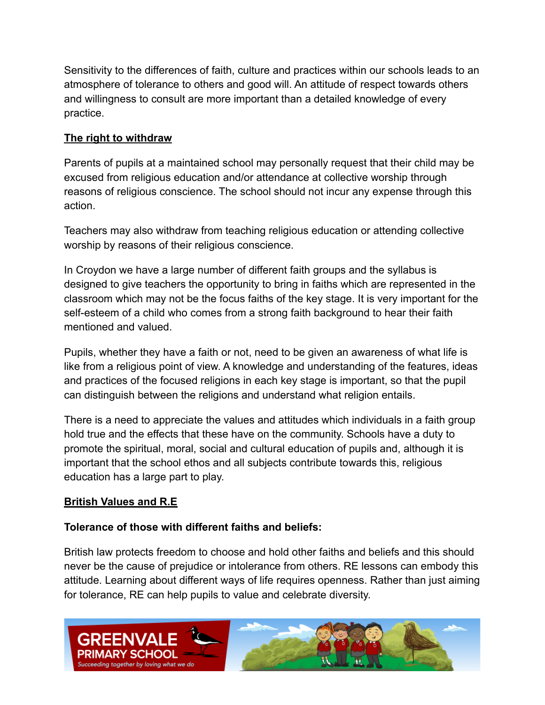Sensitivity to the differences of faith, culture and practices within our schools leads to an atmosphere of tolerance to others and good will. An attitude of respect towards others and willingness to consult are more important than a detailed knowledge of every practice.

## **The right to withdraw**

Parents of pupils at a maintained school may personally request that their child may be excused from religious education and/or attendance at collective worship through reasons of religious conscience. The school should not incur any expense through this action.

Teachers may also withdraw from teaching religious education or attending collective worship by reasons of their religious conscience.

In Croydon we have a large number of different faith groups and the syllabus is designed to give teachers the opportunity to bring in faiths which are represented in the classroom which may not be the focus faiths of the key stage. It is very important for the self-esteem of a child who comes from a strong faith background to hear their faith mentioned and valued.

Pupils, whether they have a faith or not, need to be given an awareness of what life is like from a religious point of view. A knowledge and understanding of the features, ideas and practices of the focused religions in each key stage is important, so that the pupil can distinguish between the religions and understand what religion entails.

There is a need to appreciate the values and attitudes which individuals in a faith group hold true and the effects that these have on the community. Schools have a duty to promote the spiritual, moral, social and cultural education of pupils and, although it is important that the school ethos and all subjects contribute towards this, religious education has a large part to play.

## **British Values and R.E**

#### **Tolerance of those with different faiths and beliefs:**

British law protects freedom to choose and hold other faiths and beliefs and this should never be the cause of prejudice or intolerance from others. RE lessons can embody this attitude. Learning about different ways of life requires openness. Rather than just aiming for tolerance, RE can help pupils to value and celebrate diversity.

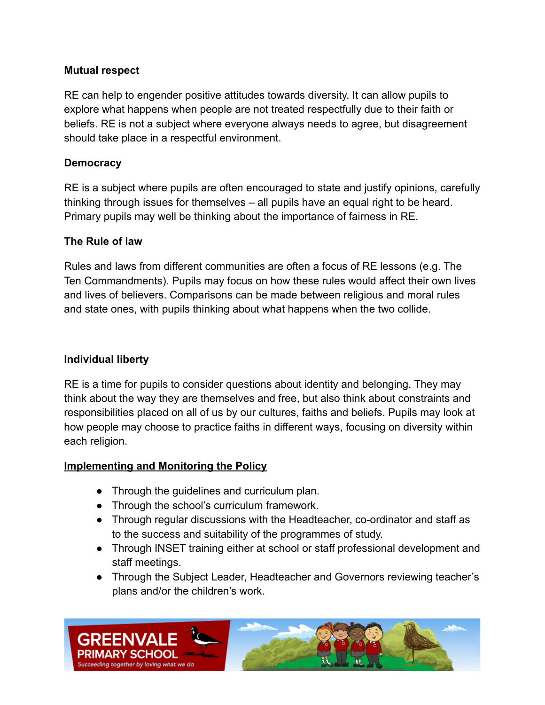### **Mutual respect**

RE can help to engender positive attitudes towards diversity. It can allow pupils to explore what happens when people are not treated respectfully due to their faith or beliefs. RE is not a subject where everyone always needs to agree, but disagreement should take place in a respectful environment.

### **Democracy**

RE is a subject where pupils are often encouraged to state and justify opinions, carefully thinking through issues for themselves – all pupils have an equal right to be heard. Primary pupils may well be thinking about the importance of fairness in RE.

### **The Rule of law**

Rules and laws from different communities are often a focus of RE lessons (e.g. The Ten Commandments). Pupils may focus on how these rules would affect their own lives and lives of believers. Comparisons can be made between religious and moral rules and state ones, with pupils thinking about what happens when the two collide.

### **Individual liberty**

RE is a time for pupils to consider questions about identity and belonging. They may think about the way they are themselves and free, but also think about constraints and responsibilities placed on all of us by our cultures, faiths and beliefs. Pupils may look at how people may choose to practice faiths in different ways, focusing on diversity within each religion.

## **Implementing and Monitoring the Policy**

- Through the quidelines and curriculum plan.
- Through the school's curriculum framework.
- Through regular discussions with the Headteacher, co-ordinator and staff as to the success and suitability of the programmes of study.
- Through INSET training either at school or staff professional development and staff meetings.
- Through the Subject Leader, Headteacher and Governors reviewing teacher's plans and/or the children's work.